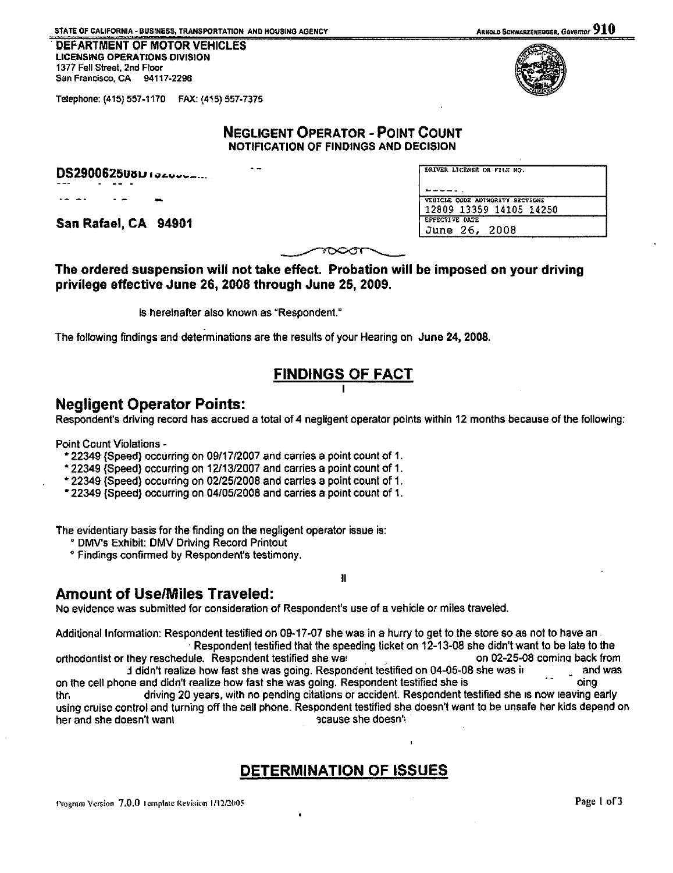STATE OF CALIFORNIA - BUSINESS, TRANSPORTATION AND HOUSING AGENCY ARNOLD SCHWARZSNE ARNOLD SCHWARZSNEGGER, GOVERNOT  $910$ 

. DEFARTMENT OF MOTOR VEHICLES UCENSING OPERATIONS OIVISION 1377 Fell Street, 2nd Floor San Francisco, CA 94117-2296



Telephone: (415) 557-1170 FAX: (415) 557-7375

### NEGLIGENT OPERATOR- POINT COUNT NOTIFICATION OF FINDINGS AND DECISION

|                |                          | <b>DS2900625U8LIOZOUCHILLE</b> |  |
|----------------|--------------------------|--------------------------------|--|
|                |                          |                                |  |
| $\overline{a}$ | $\overline{\phantom{a}}$ | . .                            |  |

San Rafael, CA 94901

| VEHICLE CODE AUTHORITY SECTIONS |
|---------------------------------|
| 12809 13359 14105 14250         |
| <b>EFFECTIVE DATE</b>           |
| June 26, 2008                   |

## The ordered suspension will not take effect. Probation will be imposed on your driving privilege effective June 26, 2008 through June 25, 2009.

is hereinafter also known as "Respondent."

 $\overline{a}$ 

The following findings and determinations are the results of your Hearing on June 24, 2008.

# FINDINGS OF FACT

## Negligent Operator Points:

Respondent's driving record has accrued a total of 4 negligent operator points within 12 months because of the following:

Point Count Violations -

- 22349 {Speed} occurring *on* 09/17/2007 and carries a point count of 1.
- 22349 {Speed} occurring on 12113/2007 and carries a point count of 1.
- 22349 (Speed} occurring on 02/25/2008 and carries a point count of 1.
- 22349 {Speed} occurring on 04/05/2008 and carries a point count of 1.

The evidentiary basis for the finding on the negligent operator issue is:

- ° DMV's Exhibit: DMV Driving Record Printout
- $^{\circ}$  Findings confirmed by Respondent's testimony.

## Amount of Use/Miles Traveled:

No evidence was submitted for consideration of Respondent's use of a vehicle or miles traveled.

Additional Information: Respondent testified on 09-17-07 she was in a hurry to get to the store so as not to have an. ·Respondent testified that the speeding ticket on 12-13-08 she didn't want to be late to the orthodontist or they reschedule. Respondent testified she wat . on 02-25-08 coming back from<br>d didn't realize how fast she was going. Respondent testified on 04-05-08 she was it . and was d didn't realize how fast she was going. Respondent testified on 04-05-08 she was ir on the cell phone and didn't realize how fast she was going. Respondent testified she is oing only only thr, driving 20 years. with no pending citations or accident. Respondent testified she 1s now leaving early using cruise control and turning off the cell phone. Respondent testified she doesn't want to be unsafe her kids depend on her and she doesn't want  $\qquad \qquad$   $\qquad \qquad$   $\qquad \qquad$   $\qquad \qquad$   $\qquad \qquad$   $\qquad \qquad$   $\qquad \qquad$   $\qquad \qquad$   $\qquad$   $\qquad \qquad$   $\qquad$   $\qquad$   $\qquad$   $\qquad$   $\qquad$   $\qquad$   $\qquad$   $\qquad$   $\qquad$   $\qquad$   $\qquad$   $\qquad$   $\qquad$   $\qquad$   $\qquad$   $\qquad$   $\qquad$   $\qquad$   $\$ 

II

# DETERMINATION OF ISSUES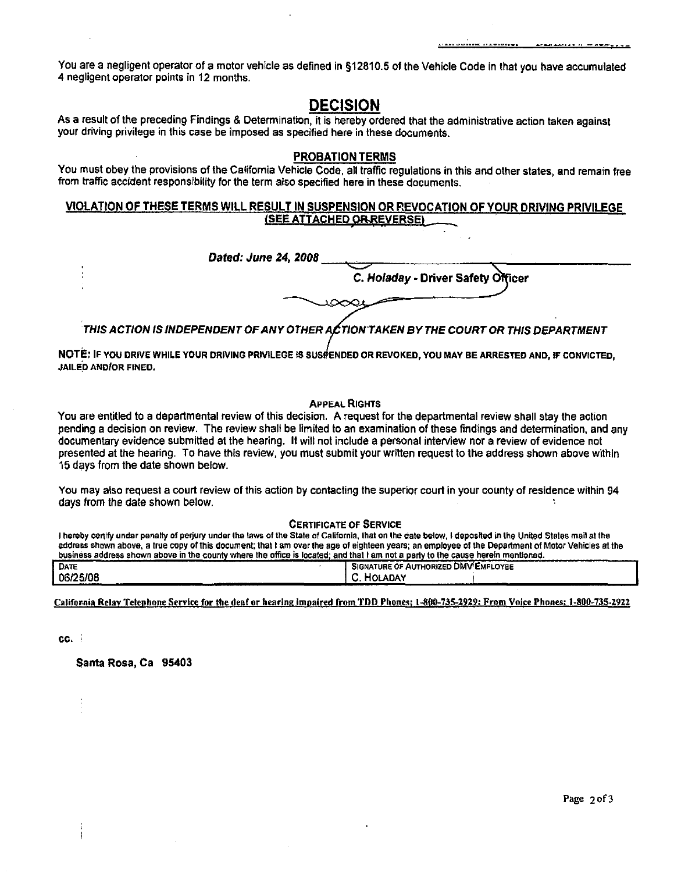You are a negligent operator of a motor vehicle as defined in §12810.5 of the Vehicle Code in that you have accumulated 4 negligent operator points in 12 months.

## **DECISION**

As a result of the preceding Findings & Determination, it is hereby ordered that the administrative action taken against your driving privilege in this case be imposed as specified here in these documents.

#### PROBATION TERMS

You must obey the provisions of the California Vehicle Code, all traffic regulations in this and other states, and remain free from traffic accident responsibility for the term also specified here in these documents.

#### VIOLATION OF THESE TERMS WILL RESULT IN SUSPENSION OR REVOCATION OF YOUR DRIVING PRIVILEGE **(SEE ATTACHED ORREVERSE)**

| Dated: June 24, 2008                                                                 |                                    |
|--------------------------------------------------------------------------------------|------------------------------------|
|                                                                                      | C. Holaday - Driver Safety Officer |
|                                                                                      |                                    |
|                                                                                      |                                    |
| THIS ACTION IS INDEPENDENT OF ANY OTHER ACTION TAKEN BY THE COURT OR THIS DEPARTMENT |                                    |

NOTE: IF YOU DRIVE WHILE YOUR DRIVING PRIVILEGE IS SUSPENDED OR REVOKED, YOU MAY BE ARRESTED AND, IF CONVICTED, **JAILED AND/OR FINED.** 

#### APPEAL RIGHTS

You are entitled to a departmental review of this decision. A request for the departmental review shall stay the action pending a decision on review. The review shall be limited to an examination of these findings and determination. and any documentary evidence submitted at the hearing. It will not include a personal interview nor a review of evidence not presented at the hearing. To have this review, you must submit your written request to the address shown above within 15 days from the date shown below.

You may also request a court review of this action by contacting the superior court in your county of residence within 94 days from the date shown below.

#### CERTIFICATE OF SERVICE

I hereby certify under penalty of perjury under the laws of the State of California, that on the date below, I deposited in the United States mail at the address shown above, a true copy of this document; that I am over the age of eighteen years; an employee of the Department of Motor Vehicles at the<br>business address shown above in the county where the office is located; an

| DATE               |               | <b>SIGNATURE OF AUTHORIZED DMV EMPLOYEE</b> |  |
|--------------------|---------------|---------------------------------------------|--|
| 06/25/08<br>______ | ⊿ADAY ⊦<br>нω | --                                          |  |
|                    |               |                                             |  |

California Relay Telephone Service for the deaf or hearing impaired from TDD Phones: 1-800-735-2929; From Voice Phones: 1-800-735-2922

cc. ;

Santa Rosa, Ca 95403